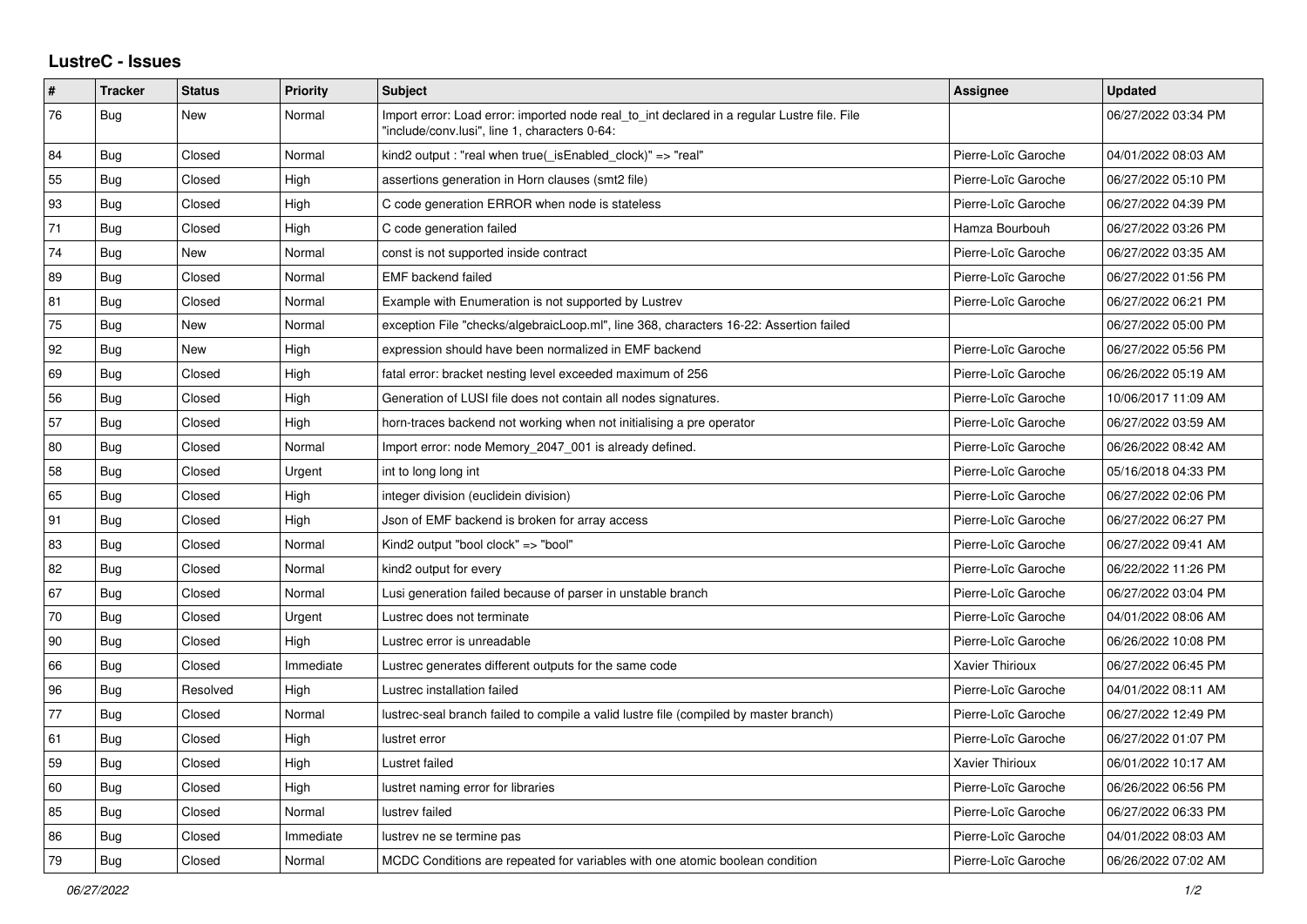## **LustreC - Issues**

| #  | <b>Tracker</b> | <b>Status</b> | <b>Priority</b> | <b>Subject</b>                                                                                                                               | <b>Assignee</b>     | <b>Updated</b>      |
|----|----------------|---------------|-----------------|----------------------------------------------------------------------------------------------------------------------------------------------|---------------------|---------------------|
| 76 | <b>Bug</b>     | New           | Normal          | Import error: Load error: imported node real to int declared in a regular Lustre file. File<br>"include/conv.lusi", line 1, characters 0-64: |                     | 06/27/2022 03:34 PM |
| 84 | Bug            | Closed        | Normal          | kind2 output : "real when true(_isEnabled_clock)" => "real"                                                                                  | Pierre-Loïc Garoche | 04/01/2022 08:03 AM |
| 55 | <b>Bug</b>     | Closed        | High            | assertions generation in Horn clauses (smt2 file)                                                                                            | Pierre-Loïc Garoche | 06/27/2022 05:10 PM |
| 93 | <b>Bug</b>     | Closed        | High            | C code generation ERROR when node is stateless                                                                                               | Pierre-Loïc Garoche | 06/27/2022 04:39 PM |
| 71 | <b>Bug</b>     | Closed        | High            | C code generation failed                                                                                                                     | Hamza Bourbouh      | 06/27/2022 03:26 PM |
| 74 | <b>Bug</b>     | <b>New</b>    | Normal          | const is not supported inside contract                                                                                                       | Pierre-Loïc Garoche | 06/27/2022 03:35 AM |
| 89 | <b>Bug</b>     | Closed        | Normal          | <b>EMF</b> backend failed                                                                                                                    | Pierre-Loïc Garoche | 06/27/2022 01:56 PM |
| 81 | <b>Bug</b>     | Closed        | Normal          | Example with Enumeration is not supported by Lustrev                                                                                         | Pierre-Loïc Garoche | 06/27/2022 06:21 PM |
| 75 | <b>Bug</b>     | New           | Normal          | exception File "checks/algebraicLoop.ml", line 368, characters 16-22: Assertion failed                                                       |                     | 06/27/2022 05:00 PM |
| 92 | <b>Bug</b>     | New           | High            | expression should have been normalized in EMF backend                                                                                        | Pierre-Loïc Garoche | 06/27/2022 05:56 PM |
| 69 | <b>Bug</b>     | Closed        | High            | fatal error: bracket nesting level exceeded maximum of 256                                                                                   | Pierre-Loïc Garoche | 06/26/2022 05:19 AM |
| 56 | Bug            | Closed        | High            | Generation of LUSI file does not contain all nodes signatures.                                                                               | Pierre-Loïc Garoche | 10/06/2017 11:09 AM |
| 57 | <b>Bug</b>     | Closed        | High            | horn-traces backend not working when not initialising a pre operator                                                                         | Pierre-Loïc Garoche | 06/27/2022 03:59 AM |
| 80 | <b>Bug</b>     | Closed        | Normal          | Import error: node Memory_2047_001 is already defined.                                                                                       | Pierre-Loïc Garoche | 06/26/2022 08:42 AM |
| 58 | <b>Bug</b>     | Closed        | Urgent          | int to long long int                                                                                                                         | Pierre-Loïc Garoche | 05/16/2018 04:33 PM |
| 65 | Bug            | Closed        | High            | integer division (euclidein division)                                                                                                        | Pierre-Loïc Garoche | 06/27/2022 02:06 PM |
| 91 | Bug            | Closed        | High            | Json of EMF backend is broken for array access                                                                                               | Pierre-Loïc Garoche | 06/27/2022 06:27 PM |
| 83 | Bug            | Closed        | Normal          | Kind2 output "bool clock" => "bool"                                                                                                          | Pierre-Loïc Garoche | 06/27/2022 09:41 AM |
| 82 | <b>Bug</b>     | Closed        | Normal          | kind2 output for every                                                                                                                       | Pierre-Loïc Garoche | 06/22/2022 11:26 PM |
| 67 | Bug            | Closed        | Normal          | Lusi generation failed because of parser in unstable branch                                                                                  | Pierre-Loïc Garoche | 06/27/2022 03:04 PM |
| 70 | Bug            | Closed        | Urgent          | Lustrec does not terminate                                                                                                                   | Pierre-Loïc Garoche | 04/01/2022 08:06 AM |
| 90 | Bug            | Closed        | High            | Lustrec error is unreadable                                                                                                                  | Pierre-Loïc Garoche | 06/26/2022 10:08 PM |
| 66 | <b>Bug</b>     | Closed        | Immediate       | Lustrec generates different outputs for the same code                                                                                        | Xavier Thirioux     | 06/27/2022 06:45 PM |
| 96 | Bug            | Resolved      | High            | Lustrec installation failed                                                                                                                  | Pierre-Loïc Garoche | 04/01/2022 08:11 AM |
| 77 | Bug            | Closed        | Normal          | lustrec-seal branch failed to compile a valid lustre file (compiled by master branch)                                                        | Pierre-Loïc Garoche | 06/27/2022 12:49 PM |
| 61 | Bug            | Closed        | High            | lustret error                                                                                                                                | Pierre-Loïc Garoche | 06/27/2022 01:07 PM |
| 59 | Bug            | Closed        | High            | Lustret failed                                                                                                                               | Xavier Thirioux     | 06/01/2022 10:17 AM |
| 60 | <b>Bug</b>     | Closed        | High            | lustret naming error for libraries                                                                                                           | Pierre-Loïc Garoche | 06/26/2022 06:56 PM |
| 85 | <b>Bug</b>     | Closed        | Normal          | lustrev failed                                                                                                                               | Pierre-Loïc Garoche | 06/27/2022 06:33 PM |
| 86 | Bug            | Closed        | Immediate       | lustrev ne se termine pas                                                                                                                    | Pierre-Loïc Garoche | 04/01/2022 08:03 AM |
| 79 | Bug            | Closed        | Normal          | MCDC Conditions are repeated for variables with one atomic boolean condition                                                                 | Pierre-Loïc Garoche | 06/26/2022 07:02 AM |